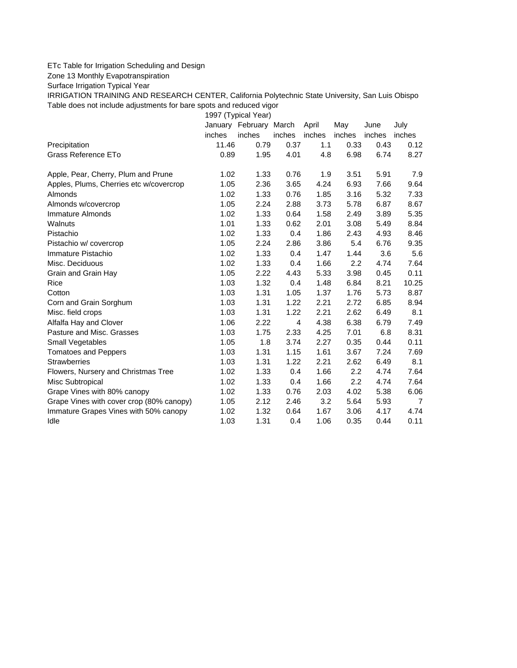## ETc Table for Irrigation Scheduling and Design

Zone 13 Monthly Evapotranspiration

Surface Irrigation Typical Year

IRRIGATION TRAINING AND RESEARCH CENTER, California Polytechnic State University, San Luis Obispo Table does not include adjustments for bare spots and reduced vigor

1997 (Typical Year)

|                                          |        | January February March |                | April  | May    | June   | July           |
|------------------------------------------|--------|------------------------|----------------|--------|--------|--------|----------------|
|                                          | inches | inches                 | inches         | inches | inches | inches | inches         |
| Precipitation                            | 11.46  | 0.79                   | 0.37           | 1.1    | 0.33   | 0.43   | 0.12           |
| Grass Reference ETo                      | 0.89   | 1.95                   | 4.01           | 4.8    | 6.98   | 6.74   | 8.27           |
| Apple, Pear, Cherry, Plum and Prune      | 1.02   | 1.33                   | 0.76           | 1.9    | 3.51   | 5.91   | 7.9            |
| Apples, Plums, Cherries etc w/covercrop  | 1.05   | 2.36                   | 3.65           | 4.24   | 6.93   | 7.66   | 9.64           |
| <b>Almonds</b>                           | 1.02   | 1.33                   | 0.76           | 1.85   | 3.16   | 5.32   | 7.33           |
| Almonds w/covercrop                      | 1.05   | 2.24                   | 2.88           | 3.73   | 5.78   | 6.87   | 8.67           |
| Immature Almonds                         | 1.02   | 1.33                   | 0.64           | 1.58   | 2.49   | 3.89   | 5.35           |
| Walnuts                                  | 1.01   | 1.33                   | 0.62           | 2.01   | 3.08   | 5.49   | 8.84           |
| Pistachio                                | 1.02   | 1.33                   | 0.4            | 1.86   | 2.43   | 4.93   | 8.46           |
| Pistachio w/ covercrop                   | 1.05   | 2.24                   | 2.86           | 3.86   | 5.4    | 6.76   | 9.35           |
| Immature Pistachio                       | 1.02   | 1.33                   | 0.4            | 1.47   | 1.44   | 3.6    | 5.6            |
| Misc. Deciduous                          | 1.02   | 1.33                   | 0.4            | 1.66   | 2.2    | 4.74   | 7.64           |
| Grain and Grain Hay                      | 1.05   | 2.22                   | 4.43           | 5.33   | 3.98   | 0.45   | 0.11           |
| Rice                                     | 1.03   | 1.32                   | 0.4            | 1.48   | 6.84   | 8.21   | 10.25          |
| Cotton                                   | 1.03   | 1.31                   | 1.05           | 1.37   | 1.76   | 5.73   | 8.87           |
| Corn and Grain Sorghum                   | 1.03   | 1.31                   | 1.22           | 2.21   | 2.72   | 6.85   | 8.94           |
| Misc. field crops                        | 1.03   | 1.31                   | 1.22           | 2.21   | 2.62   | 6.49   | 8.1            |
| Alfalfa Hay and Clover                   | 1.06   | 2.22                   | $\overline{4}$ | 4.38   | 6.38   | 6.79   | 7.49           |
| Pasture and Misc. Grasses                | 1.03   | 1.75                   | 2.33           | 4.25   | 7.01   | 6.8    | 8.31           |
| Small Vegetables                         | 1.05   | 1.8                    | 3.74           | 2.27   | 0.35   | 0.44   | 0.11           |
| <b>Tomatoes and Peppers</b>              | 1.03   | 1.31                   | 1.15           | 1.61   | 3.67   | 7.24   | 7.69           |
| <b>Strawberries</b>                      | 1.03   | 1.31                   | 1.22           | 2.21   | 2.62   | 6.49   | 8.1            |
| Flowers, Nursery and Christmas Tree      | 1.02   | 1.33                   | 0.4            | 1.66   | 2.2    | 4.74   | 7.64           |
| Misc Subtropical                         | 1.02   | 1.33                   | 0.4            | 1.66   | 2.2    | 4.74   | 7.64           |
| Grape Vines with 80% canopy              | 1.02   | 1.33                   | 0.76           | 2.03   | 4.02   | 5.38   | 6.06           |
| Grape Vines with cover crop (80% canopy) | 1.05   | 2.12                   | 2.46           | 3.2    | 5.64   | 5.93   | $\overline{7}$ |
| Immature Grapes Vines with 50% canopy    | 1.02   | 1.32                   | 0.64           | 1.67   | 3.06   | 4.17   | 4.74           |
| Idle                                     | 1.03   | 1.31                   | 0.4            | 1.06   | 0.35   | 0.44   | 0.11           |